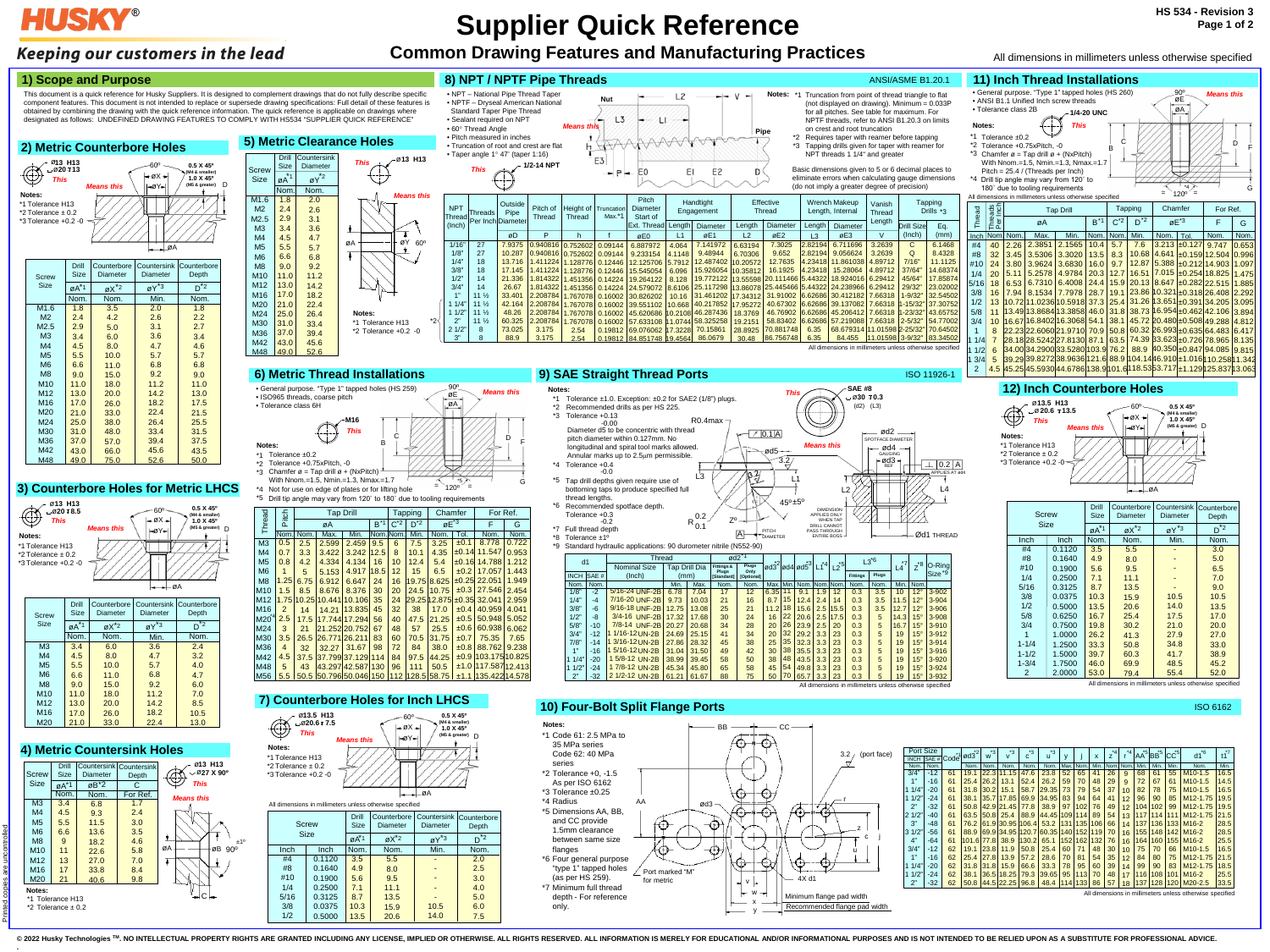# **HUSKY®**

## Keeping our customers in the lead

# **Supplier Quick Reference**

# **Common Drawing Features and Manufacturing Practices**

**.**



\*2 Tolerance ± 0.2

### **4) Metric Countersink Holes** ø**13 H13** Drill Countersink Countersink  $\circledcirc$ ø **27 X 90º Screw** Depth Size Diameter *This* Size <sub>øA</sub>\*1 øB\*2 C <u>Nom.</u> Nom. For Ref. *Means this*  $M3$ 3.4 1.7 6.8 M4 4.5 9.3 2.4 M5 5.5 3.0 11.5 M6 6.6 3.5 13.6 M8 9 18.2 4.6 ±1º øA øB 90º M10 11 22.6 5.8 M<sub>12</sub> 13 7.0 27.0 M16 17 8.4 33.8 M20 21 40.6 9.8 **Notes:** C



### **2) Metric Counterbore Holes**

48.0 57.0 66.0

# 75.0

33.4 39.4 45.6 52.6

31.5 37.5 43.5 50.0

> **PITCH** DIAMETER



M30 M36 M42 M48

31.0 37.0 43.0 49.0

### **8) NPT / NPTF Pipe Threads ANSI/ASME B1.20.1 ANSI/ASME B1.20.1**

### **5) Metric Clearance Holes**

- **Notes: This**<br>
<sup>★</sup>1 Tolerance ±1.0. Exception: ±0.2 for SAE2 (1/8") plugs. **This**  $\leftarrow$  730 <sup>T</sup>
- \*2 Recommended drills as per HS 225.

### All dimensions in millimeters unless otherwise specified





| d1          | <b>I</b> hread |                     |       | ød2           |                            | $*$           |                  | *3   |          |         |                    | $L3^{6}$        | $*7$  |      |                    |                    |
|-------------|----------------|---------------------|-------|---------------|----------------------------|---------------|------------------|------|----------|---------|--------------------|-----------------|-------|------|--------------------|--------------------|
|             |                | <b>Nominal Size</b> |       | Tap Drill Dia | <b>Fittings &amp;</b>      | Plugs<br>Only | ød3 <sup>2</sup> |      | ød4lød5` | $^*$ 4  | $\mathsf{L2}^{*5}$ |                 |       | L4   | $-1$ <sup>*8</sup> | $ O-Ring $         |
| <b>INCH</b> | SAE #          | (Inch)              |       | (mm)          | Plugs<br><b>IStandard1</b> | [Optional]    |                  |      |          |         |                    | <b>Fittings</b> | Plugs |      |                    | Size <sup>*9</sup> |
| Nom.        | Nom.           |                     | Min.  | Nom.<br>Max.  |                            | Nom.          | Max.             | Min. | Nom.     | Nom.Nom |                    | Nom.            | Nom.  | Min. | Nom.               |                    |
| 1/8"        | $-2$           | 5/16-24 UNF-2B      | 6.78  | 7.04          | 17                         | 12            | 6.35             |      | 9.1      | 1.9     | 12                 | 0.3             | 3.5   | 10   | $12^{\circ}$       | $3 - 902$          |
| 1/4"        | $-4$           | 7/16-20 UNF-2B      | 9.73  | 10.03         | 21                         | 16            | 8.7              | 15   | 12.4     | 2.4     | 14                 | 0.3             | 3.5   | 11.5 | $12^{\circ}$       | $3 - 904$          |
| 3/8"        | -6             | $9/16 - 18$ UNF-2B  | 12.75 | 13.08         | 25                         | 21            | 11.2             | 18   | 15.6     | 2.5     | 15.5               | 0.3             | 3.5   | 12.7 | $12^{\circ}$       | 3-906              |
| 1/2"        | -8             | 3/4-16 UNF-2B       | 17.32 | 17.68         | 30                         | 24            | 16               | 22   | 20.6     | 2.5     | 17.5               | 0.3             | 5     | 14.3 | $15^\circ$         | 3-908              |
| 5/8"        | $-10$          | 7/8-14 UNF-2B       | 20.27 | 20.68         | 34                         | 28            | 20               | 26   | 23.9     | 2.5     | 20                 | 0.3             | 5     | 16.7 | $15^\circ$         | $3 - 910$          |
| 3/4"        | $-12$          | 1/16-12 UN-2B       | 24.69 | 25.15         | 41                         | 34            | 20               | 32   | 29.2     | 3.3     | 23                 | 0.3             | 5     | 19   | $15^\circ$         | $3 - 912$          |
| 7/8"        | $-14$          | 3/16-12 UN-2B       | 27.86 | 28.32         | 45                         | 38            | 25               | 35   | 32.3     | 3.3     | 23                 | 0.3             | 5     | 19   | $15^\circ$         | $3 - 914$          |
| 411         | -16            | 5/16-12 UN-2B       | 31.04 | 31.50         | 49                         | 42            | 30               | 38   | 35.5     | 3.3     | 23                 | 0.3             | 5     | 19   | $15^\circ$         | $3 - 916$          |
| 1/4"        | -20            | 5/8-12 UN-2B        | 38.99 | 39.45         | 58                         | 50            | 38               | 48   | 43.5     | 3.3     | 23                 | 0.3             | 5     | 19   | $15^\circ$         | $3 - 920$          |
| 1/2"        | -24            | 1 7/8-12 UN-2B      | 45.34 | 45.80         | 65                         | 58            | 45               | 54   | 49.8     | 3.3     | 23                 | 0.3             | 5     | 19   | $15^\circ$         | $3 - 924$          |
| 2"          | -32            | 2 1/2-12 UN-2B      | 61.21 | 61.67         | 88                         | 75            | 50               | 70   | 65.7     | 3.3     | 23                 | 0.3             | 5     | 19   | $15^\circ$         | 3-932              |

 $\Box$ 

This document is a quick reference for Husky Suppliers. It is designed to complement drawings that do not fully describe specific component features. This document is not intended to replace or supersede drawing specifications: Full detail of these features is obtained by combining the drawing with the quick reference information. The quick reference is applicable on drawings where designated as follows: UNDEFINED DRAWING FEATURES TO COMPLY WITH HS534 "SUPPLIER QUICK REFERENCE"

### **1) Scope and Purpose**

### **6) Metric Thread Installations**

\*1 Tolerance ±0.2

- \*2 Tolerance +0.75xPitch, -0
- \*3 Chamfer  $\varnothing$  = Tap drill  $\varnothing$  + (NxPitch) With Nnom.=1.5, Nmin.=1.3, Nmax.=1.7

**Notes:**

**M16**

B

 $\Gamma$   $\mathcal{L}/\mathcal{L}$   $\Gamma$   $\Gamma$ 

G

=

=

*This*

### **12) Inch Counterbore Holes**

- Notes: \*1 Truncation from point of thread triangle to flat (not displayed on drawing). Minimum =  $0.033P$ for all pitches. See table for maximum. For NPTF threads, refer to ANSI B1.20.3 on limits on crest and root truncation
	- \*2 Requires taper with reamer before tapping \*3 Tapping drills given for taper with reamer for NPT threads 1 1/4" and greater



| Screw     |             | <b>Drill</b><br>Size | Counterbore<br>Diameter | Countersink<br>Diameter | Counterbore<br>Depth |
|-----------|-------------|----------------------|-------------------------|-------------------------|----------------------|
| Size      |             | $\mathbf{A}^*$ 1     | $\alpha X^*$            | $gY^*3$                 | $*_{2}$<br>D         |
| Inch      | <b>Inch</b> | Nom.                 | Nom.                    | Min.                    | Nom.                 |
| #4        | 0.1120      | 3.5                  | 5.5                     |                         | 3.0                  |
| #8        | 0.1640      | 4.9                  | 8.0                     |                         | 5.0                  |
| #10       | 0.1900      | 5.6                  | 9.5                     |                         | 6.5                  |
| 1/4       | 0.2500      | 7.1                  | 11.1                    |                         | 7.0                  |
| 5/16      | 0.3125      | 8.7                  | 13.5                    |                         | 9.0                  |
| 3/8       | 0.0375      | 10.3                 | 15.9                    | 10.5                    | 10.5                 |
| 1/2       | 0.5000      | 13.5                 | 20.6                    | 14.0                    | 13.5                 |
| 5/8       | 0.6250      | 16.7                 | 25.4                    | 17.5                    | 17.0                 |
| 3/4       | 0.7500      | 19.8                 | 30.2                    | 21.0                    | 20.0                 |
| 1         | 1.0000      | 26.2                 | 41.3                    | 27.9                    | 27.0                 |
| $1 - 1/4$ | 1.2500      | 33.3                 | 50.8                    | 34.8                    | 33.0                 |
| $1 - 1/2$ | 1.5000      | 39.7                 | 60.3                    | 41.7                    | 38.9                 |
| $1 - 3/4$ | 1.7500      | 46.0                 | 69.9                    | 48.5                    | 45.2                 |
| 2         | 2.0000      | 53.0                 | 79.4                    | 55.4                    | 52.0                 |

 $\left[ \begin{array}{c|c} \mathbf{x}^{3} & \mathbf{c}^{3} & \mathbf{c}^{3} & \mathbf{c}^{4} \end{array} \right]$  ,  $\left[ \begin{array}{c|c} \mathbf{x} & \mathbf{c}^{4} & \mathbf{c}^{4} & \mathbf{c}^{4} & \mathbf{A} \mathbf{A}^{5} & \mathbf{B} \mathbf{B}^{5} & \mathbf{C} \mathbf{C}^{5} & \mathbf{C} \mathbf{A}^{6} & \mathbf{A}^{7} \end{array} \right]$ 

E2

ΕI



| <b>Screw</b>    | Drill<br><b>Size</b> | Counterbore<br>Diameter | Diameter | Countersink Counterbore<br>Depth |
|-----------------|----------------------|-------------------------|----------|----------------------------------|
| <b>Size</b>     | $Q\overline{A}^{*1}$ | $\alpha X^*$            | $gY^*3$  | $^*2$                            |
|                 | Nom.                 | Nom.                    | Min.     | Nom.                             |
| M <sub>3</sub>  | 3.4                  | 6.0                     | 3.6      | 2.4                              |
| M <sub>4</sub>  | 4.5                  | 8.0                     | 4.7      | 3.2                              |
| M <sub>5</sub>  | 5.5                  | 10.0                    | 5.7      | 4.0                              |
| M <sub>6</sub>  | 6.6                  | 11.0                    | 6.8      | 4.7                              |
| M <sub>8</sub>  | 9.0                  | 15.0                    | 9.2      | 6.0                              |
| M <sub>10</sub> | 11.0                 | 18.0                    | 11.2     | 7.0                              |
| M <sub>12</sub> | 13.0                 | 20.0                    | 14.2     | 8.5                              |
| M <sub>16</sub> | 17.0                 | 26.0                    | 18.2     | 10.5                             |

<u>M20 | 21.0 | 33.0 | 22.4 | 13.0</u>



 $\overline{\mathsf{A}}$ 90º *Means this* • General purpose. "Type 1" tapped holes (HS 259) • ISO965 threads, coarse pitch • Tolerance class 6H øE



| All ultilialisiulis ili illiliililieleis uliless oli lei wise specified |              |                      |                            |                               |                                    |  |  |  |  |  |  |  |  |
|-------------------------------------------------------------------------|--------------|----------------------|----------------------------|-------------------------------|------------------------------------|--|--|--|--|--|--|--|--|
|                                                                         | <b>Screw</b> | Drill<br><b>Size</b> | Counterbore<br>Diameter    | <b>Diameter</b>               | Countersink   Counterbore<br>Depth |  |  |  |  |  |  |  |  |
|                                                                         | <b>Size</b>  | øÅ <sup>*1</sup>     | $\varphi X^*$ <sup>2</sup> | $\varnothing$ Y <sup>*3</sup> | *2                                 |  |  |  |  |  |  |  |  |
| Inch                                                                    | Inch         | Nom.                 | Nom.                       | Min.                          | Nom.                               |  |  |  |  |  |  |  |  |
| #4                                                                      | 0.1120       | 3.5                  | 5.5                        |                               | 2.0                                |  |  |  |  |  |  |  |  |
| #8                                                                      | 0.1640       | 4.9                  | 8.0                        |                               | 2.5                                |  |  |  |  |  |  |  |  |
| #10                                                                     | 0.1900       | 5.6                  | 9.5                        |                               | 3.0                                |  |  |  |  |  |  |  |  |
| 1/4                                                                     | 0.2500       | 7.1                  | 11.1                       |                               | 4.0                                |  |  |  |  |  |  |  |  |
| 5/16                                                                    | 0.3125       | 8.7                  | 13.5                       |                               | 5.0                                |  |  |  |  |  |  |  |  |
| 3/8                                                                     | 0.0375       | 10.3                 | 15.9                       | 10.5                          | 6.0                                |  |  |  |  |  |  |  |  |
| 1/2                                                                     | 0.5000       | 13.5                 | 20.6                       | 14.0                          | 7.5                                |  |  |  |  |  |  |  |  |



© 2022 Husky Technologies ™. NO INTELLECTUAL PROPERTY RIGHTS ARE GRANTED INCLUDING ANY LICENSE, IMPLIED OR OTHERWISE. ALL RIGHTS RESERVED. ALL INFORMATIONAL AND/OR INFORMATIONAL PURPOSES AND IS NOT INTENDED TO BE RELIED U

### **10) Four-Bolt Split Flange Ports**



| Nom.        | Nom.  |    | Nom. | Nom. | Nom.            | Nom.  | Nom.                      | Max. | Nom.      | Min. |    | Nom. Nom.       | Min. | Min. | Min. | Nom.                  | Min. |
|-------------|-------|----|------|------|-----------------|-------|---------------------------|------|-----------|------|----|-----------------|------|------|------|-----------------------|------|
| 3/4"        | $-12$ | 61 | 19.1 |      | 22.3 11.15      | 47.6  | 23.8                      | 52   | 65        | 41   | 26 | 9               | 68   | 61   | 55   | $M10-1.5$             | 16.5 |
| 1"          | $-16$ | 61 | 25.4 | 26.2 | 13.1            | 52.4  | 26.2                      | 59   | 70        | 48   | 29 | 9               | 72   | 67   | 61   | $M10-1.5$             | 14.5 |
| 1/4"        | $-20$ | 61 | 31.8 | 30.2 | 15.1            | 58.7  | 29.35                     | 73   | 79        | 54   | 37 | 10              | 82   | 78   | 75   | $M10-1.5$             | 16.5 |
| 1/2"        | $-24$ | 61 | 38.1 |      | 35.7 17.85      | 69.9  | 34.95                     | 83   | 94        | 64   | 41 | 12              | 96   | 90   | 85   | M <sub>12</sub> -1.75 | 19.5 |
| 2"          | $-32$ | 61 | 50.8 |      | 42.9 21.45      | 77.8  | 38.9                      | 97   | 102       | 76   | 49 | 12              | 104  | 102  | 99   | M <sub>12</sub> -1.75 | 19.5 |
| 1/2"<br>12. | $-40$ | 61 | 63.5 |      | $ 50.8 $ 25.4   | 88.9  | 44.45                     | 109  | 114       | 89   | 54 | 13              | 117  | 114  | 111  | M <sub>12</sub> -1.75 | 21.5 |
| 3"          | $-48$ | 61 | 76.2 |      |                 |       | 61.9 30.95 106.4 53.2 131 |      | 135 106   |      | 66 | 14              | 137  | 136  | 133  | $M16-2$               | 28.5 |
| 3 1/2"      | $-56$ | 61 | 88.9 |      |                 |       | 69.934.95120.7160.35      |      | 140   152 | 119  | 70 | 16              | 155  | 148  | 142  | $M16-2$               | 28.5 |
| 4"          | $-64$ | 61 |      |      | 101.6 77.8 38.9 | 130.2 | 65.1                      | 152  | 162       | 132  | 76 | 16              | 164  | 160  | 155  | $M16-2$               | 25.5 |
| 3/4"        | $-12$ | 62 | 19.1 | 23.8 | 11.9            | 50.8  | 25.4                      | 60   | 71        | 48   | 30 | 10 <sup>°</sup> | 75   | 70   | 66   | $M10-1.5$             | 16.5 |
| 1"          | $-16$ | 62 | 25.4 | 27.8 | 13.9            | 57.2  | 28.6                      | 70   | 81        | 54   | 35 | 12              | 84   | 80   | 75   | M <sub>12</sub> -1.75 | 21.5 |
| 1/4"        | $-20$ | 62 | 31.8 | 31.8 | 15.9            | 66.6  | 33.3                      | 78   | 95        | 60   | 39 | 14              | 99   | 90   | 83   | M <sub>12</sub> -1.75 | 18.5 |
| 1/2"        | $-24$ | 62 | 38.1 |      | 36.5 18.25      | 79.3  | 39.65                     | 95   | 113       | 70   | 48 | 17              | 116  | 108  | 101  | $M16-2$               | 25.5 |
| 2"          | $-32$ | 62 | 50.8 |      | 44.5 22.25      | 96.8  | 48.4                      | 114  | 133       | 86   | 57 | 18              | 137  | 128  | 120  | $M20-2.5$             | 33.5 |
|             |       |    |      |      |                 |       |                           |      |           |      |    |                 |      |      |      |                       |      |

 $c^{\ast 3}$ 

 $\begin{bmatrix} 1 & 3 \\ 4 & 3 \end{bmatrix}$ 

|                 | *9 Standard hydraulic applications: 90 durometer nitrile (N552-90) |                      |                            |                  |                     |  |
|-----------------|--------------------------------------------------------------------|----------------------|----------------------------|------------------|---------------------|--|
| d1              | Thread                                                             |                      | ød <sub>2</sub>            | $*$ nl           |                     |  |
|                 | Nominal Size                                                       | <b>Tap Drill Dia</b> | Fittings &<br><b>Pluas</b> | Plugs<br>Only    | lød3 <sup>∸</sup> l |  |
| $NCH$ $CAF$ $H$ | (lnch)                                                             | (mm)                 | <b>LOAN MARKET L</b>       | <b>Continual</b> |                     |  |

 $R_{0.1}^{0.2}$  Z<sup>o</sup>

j



### ISO 6162

\*5  $120^{\circ}$ Drill tip angle may vary from 120˚ to 180˚ due to tooling requirements

\*4 Not for use on edge of plates or for lifting hole

All dimensions in millimeters unless otherwise specified

All dimensions in millimeters unless otherwise specified

Code ød3<sup>2</sup>

 $\frac{Port \text{ Size}}{NCH |\text{SAE #}| \text{Code}}$   $\sigma d3^2$  w

All dimensions in millimeters unless otherwise specified

• NPT – National Pipe Thread Taper • NPTF – Dryseal American National Standard Taper Pipe Thread • Sealant required on NPT

> **Outside** Pipe Diamet

-+-

**1/2-14 NPT**

• 60° Thread Angle • Pitch measured in inches

7.9375 10.287 13.716 17.145 21.336 26.67 33.401 42.164 48.26 60.325 73.025 88.9

øD

E0

*Means this Pipe* **Pipe Pipe Pipe Pipe Pipe Pipe Pipe Pipe Pipe Pipe Pipe Pipe Pipe Pipe Pipe Pipe Pipe Pipe Pipe Pipe Pipe Pipe Pipe Pipe Pipe Pipe Pipe Pipe P** 

21.1

 $L2$ 

D

| Pitch of<br>Thread                                       | Height of<br>Thread | Truncation<br>Max.*1 | <b>Pitch</b><br>Diameter<br>Start of |                     | Handtight<br>Engagement |                | Effective<br>Thread |         | <b>Wrench Makeup</b><br>Length, Internal | Vanish<br><b>Thread</b> |              | Tapping<br>Drills *3 |
|----------------------------------------------------------|---------------------|----------------------|--------------------------------------|---------------------|-------------------------|----------------|---------------------|---------|------------------------------------------|-------------------------|--------------|----------------------|
|                                                          |                     |                      | Ext. Thread                          | Length              | <b>Diameter</b>         | Length         | <b>Diameter</b>     | Length  | <b>Diameter</b>                          | Length                  | Drill Sizel  | Eq.                  |
| P                                                        | h                   |                      | øE0                                  | L1                  | øE1                     | L <sub>2</sub> | øE2                 | L3      | øE3                                      | $\vee$                  | (Inch)       | (mm)                 |
|                                                          | 0.940816 0.752602   | 0.09144              | 6.887972                             | 4.064               | 7.141972                | 6.63194        | 7.3025              | 2.82194 | 6.711696                                 | 3.2639                  | C            | 6.1468               |
|                                                          | 0.940816 0.752602   | 0.09144              | 9.233154                             | 9.48944<br>4.1148   |                         | 6.70306        | 9.652               | 2.82194 | 9.056624                                 | 3.2639                  | $\Omega$     | 8.4328               |
| 1.411224                                                 | 1.128776            | 0.12446              | 12.125706                            | 12.487402<br>5.7912 |                         | 10.20572       | 12.7635             | 4.23418 | 11.861038                                | 4.89712                 | 7/16"        | 11.1125              |
| 1.411224                                                 | 1.128776            | 0.12446              | 15.545054                            | 15.926054<br>6.096  |                         | 10.35812       | 16.1925             | 4.23418 | 15.28064                                 | 4.89712                 | 37/64"       | 14.68374             |
| 1.814322                                                 | 1.451356            | 0.14224              | 19.264122                            | 8.128               | 19.772122 13.55598      |                | 20.111466 5.44322   |         | 18.924016                                | 6.29412                 | 45/64"       | 17.85874             |
| 1.814322                                                 | 1.451356            | 0.14224              | 24.579072                            | 8.6106              | 25.117298 13.86078      |                |                     |         | 25.445466 5.44322 24.238966              | 6.29412                 | 29/32"       | 23.02002             |
| 2.208784                                                 | 1.767078            | 0.16002              | 30.826202                            | 10.16               | 31.461202               | 17.34312       | 31.91002            | 6.62686 | 30.412182                                | 7.66318                 | $1 - 9/32"$  | 32.54502             |
| 2.208784                                                 | 1.767078            | 0.16002              | 39.551102                            | 10.668              | 40.217852 17.95272      |                | 40.67302            |         | 6.62686 39.137082                        | 7.66318                 | $1 - 15/32'$ | 37.30752             |
| 2.208784                                                 | 1.767078            | 0.16002              | 45.620686 10.2108 46.287436          |                     |                         | 18.3769        | 46.76902            |         | 6.62686 45.206412                        | 7.66318                 | $1 - 23/32'$ | 43.65752             |
| 2.208784                                                 | 1.767078            | 0.16002              | 57.633108 11.0744 58.325258          |                     |                         | 19.2151        | 58.83402            | 6.62686 | 57.219088                                | 7.66318                 | $2 - 5/32"$  | 54.77002             |
| 3.175                                                    | 2.54                | 0.19812              | 69.076062 17.3228                    |                     | 70.15861                | 28.8925        | 70.881748           | 6.35    | 68.679314 11.01598 2-25/32               |                         |              | 70.64502             |
| 3.175                                                    | 2.54                | 0.19812              | 84.851748 19.4564                    |                     | 86,0679                 | 30.48          | 86.756748           | 6.35    | 84.455                                   | 11.01598 3-9/32"        |              | 83.34502             |
| All dimensions in millimeters unless otherwise specified |                     |                      |                                      |                     |                         |                |                     |         |                                          |                         |              |                      |



**Nut**

E3

L3

All dimensions in millimeters unless otherwise specified

Basic dimensions given to 5 or 6 decimal places to eliminate errors when calculating gauge dimensions (do not imply a greater degree of precision)

Printed copies are uncontrolled

|                 | Pitch          |      | <b>Tap Drill</b> |               |        |               | Tapping | Chamfer          |           | For Ref.       |       |
|-----------------|----------------|------|------------------|---------------|--------|---------------|---------|------------------|-----------|----------------|-------|
| Thread          |                |      | øA               |               | $B^*1$ | $C^{\star 2}$ | $D^*2$  | $\varphi E^{*3}$ |           | F              | G     |
|                 | Nom.           | Nom. | Max.             | Min.          |        | Nom. Nom.     | Min.    | Nom.             | Tol.      | Nom.           | Nom.  |
| M <sub>3</sub>  | 0.5            | 2.5  | 2.599            | 2.459         | 9.5    | 6             | 7.5     | 3.25             | $\pm 0.1$ | 8.778          | 0.722 |
| M4              | 0.7            | 3.3  | 3.422            | 3.242         | 12.5   | 8             | 10.1    | 4.35             | ±0.14     | 11.547         | 0.953 |
| M <sub>5</sub>  | 0.8            | 4.2  | 4.334            | 4.134         | 16     | 10            | 12.4    | 5.4              | ±0.16     | 14.788         | 1.212 |
| M <sub>6</sub>  | 1              | 5    | 5.153            | 4.917         | 18.5   | 12            | 15      | 6.5              | ±0.2      | 17.057         | 1.443 |
| M <sub>8</sub>  | 1.25           | 6.75 | 6.912            | 6.647         | 24     | 16            | 19.75   | 8.625            | ±0.25     | 22.051         | 1.949 |
| M <sub>10</sub> | $1.5\,$        | 8.5  | 8.676            | 8.376         | 30     | 20            | 24.5    | 10.75            | $\pm 0.3$ | 27.546         | 2.454 |
| M <sub>12</sub> | 1.75           |      | 10.25 10.441     | 10.106        | 35     | 24            |         | 29.25 12.875     | ±0.35     | 32.041         | 2.959 |
| M16             | $\overline{2}$ | 14   | 14.21            | 13.835        | 45     | 32            | 38      | 17.0             | ±0.4      | 40.959         | 4.041 |
| $M20^4$         | 2.5            | 17.5 |                  | 17.744 17.294 | 56     | 40            | 47.5    | 21.25            | ±0.5      | 50.948         | 5.052 |
| M24             | 3              | 21   |                  | 21.252 20.752 | 67     | 48            | 57      | 25.5             | $\pm 0.6$ | 60.938         | 6.062 |
| M30             | 3.5            | 26.5 | 26.771 26.211    |               | 83     | 60            | 70.5    | 31.75            | ±0.7      | 75.35          | 7.65  |
| M36             | 4              | 32   | 32.27            | 31.67         | 98     | 72            | 84      | 38.0             | ±0.8      | 88.762         | 9.238 |
| M42             | 4.5            | 37.5 |                  | 37.799 37.129 | 114    | 84            | 97.5    | 44.25            | $\pm 0.9$ | 103.17510.825  |       |
| M48             | 5              | 43   |                  | 43.297 42.587 | 130    | 96            | 111     | 50.5             | ±1.0      | 117.58712.413  |       |
| M <sub>56</sub> | 5.5            | 50.5 |                  | 50.796 50.046 | 150    | 112           | 128.5   | 58.75            | ±1.1      | 135.422 14.578 |       |

|        | Ì<br>ads       |      |                                                                            | <b>Tap Drill</b> |         |           | Tapping            | Chamfer |                               | For Ref.                                |       |
|--------|----------------|------|----------------------------------------------------------------------------|------------------|---------|-----------|--------------------|---------|-------------------------------|-----------------------------------------|-------|
| Thread | ত<br>മ         |      | øA                                                                         |                  | $B^*$ 1 | $C^*{}^2$ | $D^*$ <sup>2</sup> |         | $\varnothing$ E <sup>*3</sup> | F                                       | G     |
| Inch   | Noml           | Nom. | Max.                                                                       | Min.             | Nom.    | Nom.      | Min.               | Nom.    | Tol.                          | Nom.                                    | Nom.  |
| #4     | 40             | 2.26 | 2.3851                                                                     | 2.1565           | 10.4    | 5.7       | 7.6                | 3.213   | $\pm 0.127$                   | 9.747                                   | 0.653 |
| #8     | 32             | 3.45 | 3.5306                                                                     | 3.3020           | 13.5    | 8.3       | 10.68              | 4.641   |                               | $\pm 0.159112.504$                      | 0.996 |
| #10    | 24             | 3.80 | 3.9624                                                                     | 3.6830           | 16.0    | 9.7       | 12.87              | 5.388   |                               | $\pm 0.212$   14.903                    | 1.097 |
| 1/4    | 20             | 5.11 | 5.2578                                                                     | 4.9784           | 20.3    | 12.7      | 16.51              | 7.015   |                               | $\pm 0.254$ 18.825                      | 1.475 |
| 5/16   | 18             | 6.53 | 6.7310                                                                     | 6.4008           | 24.4    | 15.9      | 20.13              | 8.647   |                               | $\pm 0.282$ 22.515                      | 1.885 |
| 3/8    | 16             | 7.94 | 8.1534                                                                     | 7.7978           | 28.7    | 19.1      |                    |         |                               | 23.86 10.321 ± 0.318 26.408             | 2.292 |
| 1/2    | 13             |      | 10.7211.023610.5918                                                        |                  | 37.3    | 25.4      |                    |         |                               | $31.26$   13.651 + 0.391   34.205       | 3.095 |
| 5/8    | 11             |      | 13.49 13.8684 13.3858                                                      |                  | 46.0    | 31.8      |                    |         |                               | $38.73$ 16.954 ± 0.462 42.106           | 3.894 |
| 3/4    | 10             |      | 16.67 16.8402 16.3068 54.1                                                 |                  |         | 38.1      |                    |         |                               | 45.72 20.480 ± 0.508 49.288             | 4.812 |
| 1      | 8              |      | 22.2322.606021.9710 70.9                                                   |                  |         | 50.8      |                    |         |                               | 60.32 26.993 ± 0.635 64.483             | 6.417 |
| 11/4   | $\overline{7}$ |      | 28.18 28.5242 27.8130 87.1                                                 |                  |         | 63.5      |                    |         |                               | 74.39 33.623 ± 0.726 78.965             | 8.135 |
| 11/2   | 6              |      | <u> 34.00 34.2900 33.5280 103.9 </u>                                       |                  |         | 76.2      | 88.9               |         |                               | 40.350 ± 0.847 94.085                   | 9.815 |
| 13/4   | 5              |      | 39.2939.827238.9636 121.6                                                  |                  |         |           |                    |         |                               | 88.9 104.1446.910 ± 1.016 10.258 11.342 |       |
| 2      |                |      | 4.5 45.25 45.5930 44.6786 138.9 101.6 118.53 53.717 ± 1.129 125.837 13.063 |                  |         |           |                    |         |                               |                                         |       |

- bottoming taps to produce specified full thread lengths
- \*6 Recommended spotface depth. Tolerance +0.3
- -0.2 Full thread depth
- \*7 \*8 Tolerance ±1º